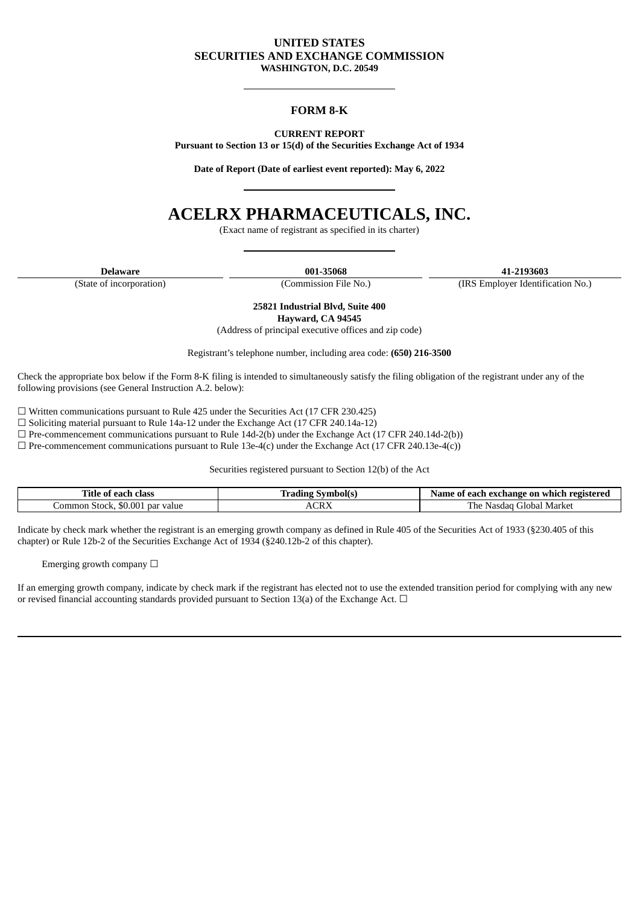## **UNITED STATES SECURITIES AND EXCHANGE COMMISSION WASHINGTON, D.C. 20549**

## **FORM 8-K**

**CURRENT REPORT Pursuant to Section 13 or 15(d) of the Securities Exchange Act of 1934**

**Date of Report (Date of earliest event reported): May 6, 2022**

# **ACELRX PHARMACEUTICALS, INC.**

(Exact name of registrant as specified in its charter)

(State of incorporation) (Commission File No.) (IRS Employer Identification No.)

**Delaware 001-35068 41-2193603**

**25821 Industrial Blvd, Suite 400 Hayward, CA 94545**

(Address of principal executive offices and zip code)

Registrant's telephone number, including area code: **(650) 216-3500**

Check the appropriate box below if the Form 8-K filing is intended to simultaneously satisfy the filing obligation of the registrant under any of the following provisions (see General Instruction A.2. below):

 $\Box$  Written communications pursuant to Rule 425 under the Securities Act (17 CFR 230.425)

 $\square$  Soliciting material pursuant to Rule 14a-12 under the Exchange Act (17 CFR 240.14a-12)

 $\Box$  Pre-commencement communications pursuant to Rule 14d-2(b) under the Exchange Act (17 CFR 240.14d-2(b))

 $\Box$  Pre-commencement communications pursuant to Rule 13e-4(c) under the Exchange Act (17 CFR 240.13e-4(c))

Securities registered pursuant to Section 12(b) of the Act

| m <sub>a</sub><br>Fitle<br>class<br>each<br>01 |      | ' each exchange on<br>registered<br>a which<br>ึ ก1<br>same |
|------------------------------------------------|------|-------------------------------------------------------------|
| ' value<br>ommon<br>Stock.<br>par<br>50.00-    | ACRY | Market<br>1 he<br>Global<br>Nasc<br>तत                      |

Indicate by check mark whether the registrant is an emerging growth company as defined in Rule 405 of the Securities Act of 1933 (§230.405 of this chapter) or Rule 12b-2 of the Securities Exchange Act of 1934 (§240.12b-2 of this chapter).

Emerging growth company  $\Box$ 

If an emerging growth company, indicate by check mark if the registrant has elected not to use the extended transition period for complying with any new or revised financial accounting standards provided pursuant to Section 13(a) of the Exchange Act.  $\Box$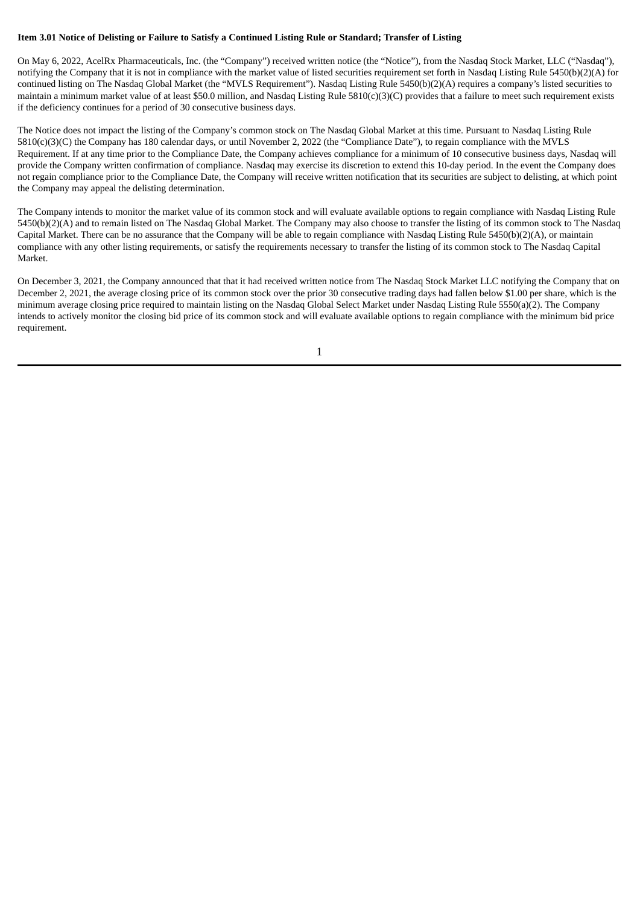#### Item 3.01 Notice of Delisting or Failure to Satisfy a Continued Listing Rule or Standard; Transfer of Listing

On May 6, 2022, AcelRx Pharmaceuticals, Inc. (the "Company") received written notice (the "Notice"), from the Nasdaq Stock Market, LLC ("Nasdaq"), notifying the Company that it is not in compliance with the market value of listed securities requirement set forth in Nasdaq Listing Rule 5450(b)(2)(A) for continued listing on The Nasdaq Global Market (the "MVLS Requirement"). Nasdaq Listing Rule 5450(b)(2)(A) requires a company's listed securities to maintain a minimum market value of at least \$50.0 million, and Nasdaq Listing Rule 5810(c)(3)(C) provides that a failure to meet such requirement exists if the deficiency continues for a period of 30 consecutive business days.

The Notice does not impact the listing of the Company's common stock on The Nasdaq Global Market at this time. Pursuant to Nasdaq Listing Rule 5810(c)(3)(C) the Company has 180 calendar days, or until November 2, 2022 (the "Compliance Date"), to regain compliance with the MVLS Requirement. If at any time prior to the Compliance Date, the Company achieves compliance for a minimum of 10 consecutive business days, Nasdaq will provide the Company written confirmation of compliance. Nasdaq may exercise its discretion to extend this 10-day period. In the event the Company does not regain compliance prior to the Compliance Date, the Company will receive written notification that its securities are subject to delisting, at which point the Company may appeal the delisting determination.

The Company intends to monitor the market value of its common stock and will evaluate available options to regain compliance with Nasdaq Listing Rule 5450(b)(2)(A) and to remain listed on The Nasdaq Global Market. The Company may also choose to transfer the listing of its common stock to The Nasdaq Capital Market. There can be no assurance that the Company will be able to regain compliance with Nasdaq Listing Rule 5450(b)(2)(A), or maintain compliance with any other listing requirements, or satisfy the requirements necessary to transfer the listing of its common stock to The Nasdaq Capital Market.

On December 3, 2021, the Company announced that that it had received written notice from The Nasdaq Stock Market LLC notifying the Company that on December 2, 2021, the average closing price of its common stock over the prior 30 consecutive trading days had fallen below \$1.00 per share, which is the minimum average closing price required to maintain listing on the Nasdaq Global Select Market under Nasdaq Listing Rule 5550(a)(2). The Company intends to actively monitor the closing bid price of its common stock and will evaluate available options to regain compliance with the minimum bid price requirement.

1